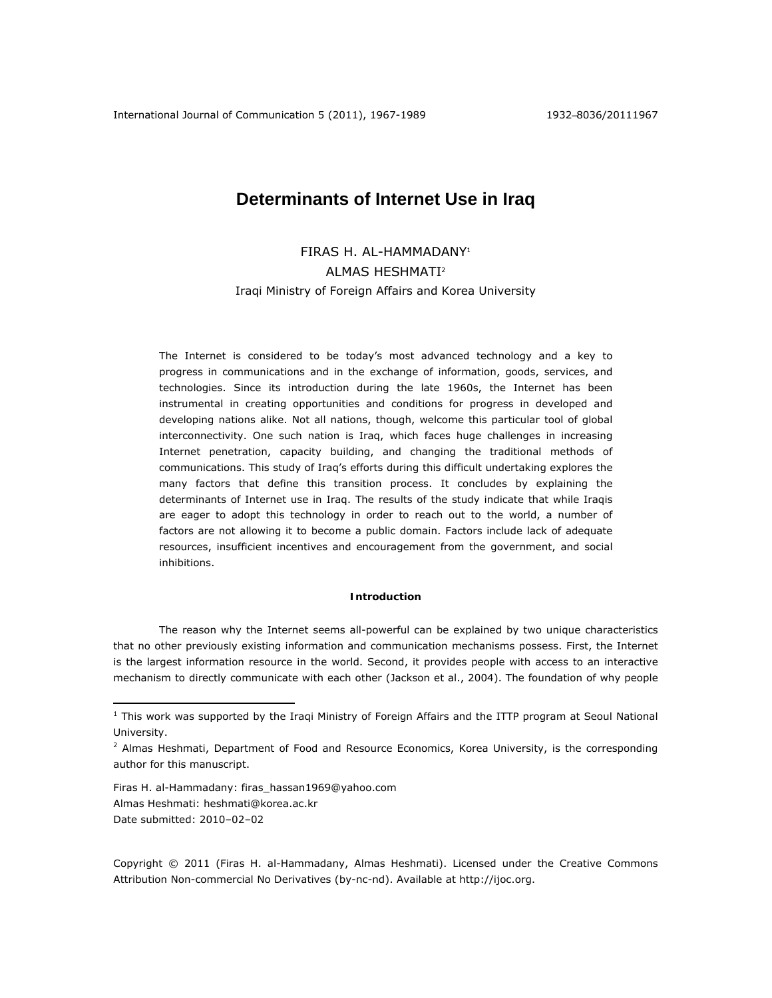# **Determinants of Internet Use in Iraq**

FIRAS H. AL-HAMMADANY1 ALMAS HESHMATI2 Iraqi Ministry of Foreign Affairs and Korea University

The Internet is considered to be today's most advanced technology and a key to progress in communications and in the exchange of information, goods, services, and technologies. Since its introduction during the late 1960s, the Internet has been instrumental in creating opportunities and conditions for progress in developed and developing nations alike. Not all nations, though, welcome this particular tool of global interconnectivity. One such nation is Iraq, which faces huge challenges in increasing Internet penetration, capacity building, and changing the traditional methods of communications. This study of Iraq's efforts during this difficult undertaking explores the many factors that define this transition process. It concludes by explaining the determinants of Internet use in Iraq. The results of the study indicate that while Iraqis are eager to adopt this technology in order to reach out to the world, a number of factors are not allowing it to become a public domain. Factors include lack of adequate resources, insufficient incentives and encouragement from the government, and social inhibitions.

## **Introduction**

The reason why the Internet seems all-powerful can be explained by two unique characteristics that no other previously existing information and communication mechanisms possess. First, the Internet is the largest information resource in the world. Second, it provides people with access to an interactive mechanism to directly communicate with each other (Jackson et al., 2004). The foundation of why people

Firas H. al-Hammadany: firas\_hassan1969@yahoo.com Almas Heshmati: heshmati@korea.ac.kr Date submitted: 2010–02–02

 $\overline{a}$ 

Copyright © 2011 (Firas H. al-Hammadany, Almas Heshmati). Licensed under the Creative Commons Attribution Non-commercial No Derivatives (by-nc-nd). Available at http://ijoc.org.

<sup>&</sup>lt;sup>1</sup> This work was supported by the Iraqi Ministry of Foreign Affairs and the ITTP program at Seoul National University.

<sup>&</sup>lt;sup>2</sup> Almas Heshmati, Department of Food and Resource Economics, Korea University, is the corresponding author for this manuscript.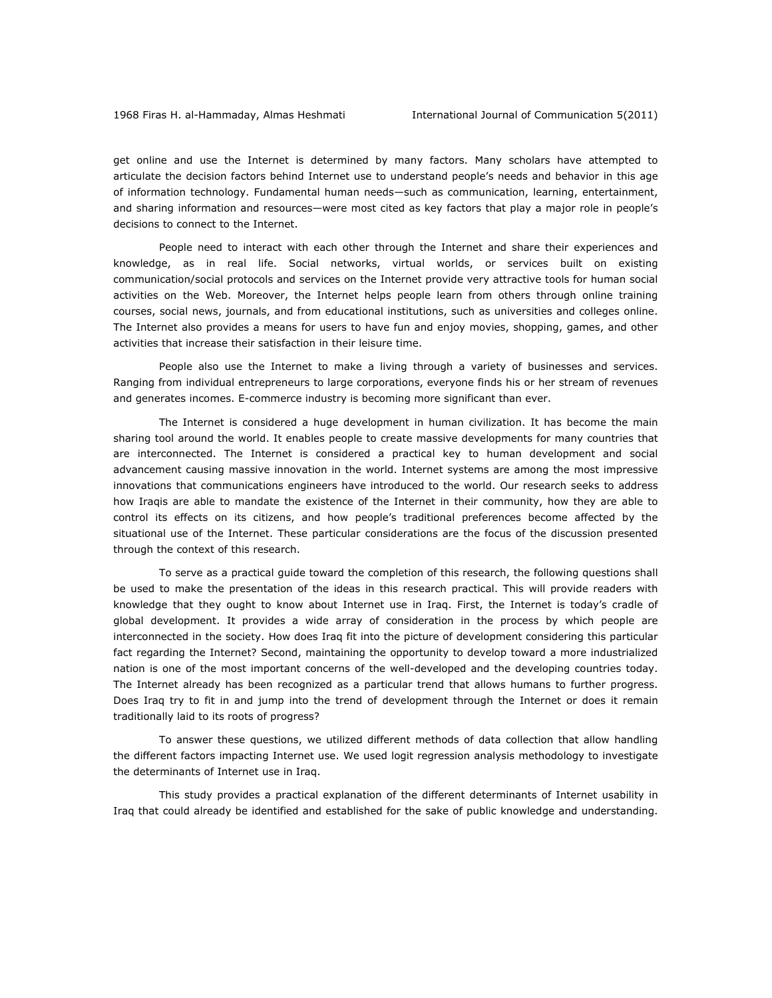get online and use the Internet is determined by many factors. Many scholars have attempted to articulate the decision factors behind Internet use to understand people's needs and behavior in this age of information technology. Fundamental human needs—such as communication, learning, entertainment, and sharing information and resources—were most cited as key factors that play a major role in people's decisions to connect to the Internet.

People need to interact with each other through the Internet and share their experiences and knowledge, as in real life. Social networks, virtual worlds, or services built on existing communication/social protocols and services on the Internet provide very attractive tools for human social activities on the Web. Moreover, the Internet helps people learn from others through online training courses, social news, journals, and from educational institutions, such as universities and colleges online. The Internet also provides a means for users to have fun and enjoy movies, shopping, games, and other activities that increase their satisfaction in their leisure time.

People also use the Internet to make a living through a variety of businesses and services. Ranging from individual entrepreneurs to large corporations, everyone finds his or her stream of revenues and generates incomes. E-commerce industry is becoming more significant than ever.

The Internet is considered a huge development in human civilization. It has become the main sharing tool around the world. It enables people to create massive developments for many countries that are interconnected. The Internet is considered a practical key to human development and social advancement causing massive innovation in the world. Internet systems are among the most impressive innovations that communications engineers have introduced to the world. Our research seeks to address how Iraqis are able to mandate the existence of the Internet in their community, how they are able to control its effects on its citizens, and how people's traditional preferences become affected by the situational use of the Internet. These particular considerations are the focus of the discussion presented through the context of this research.

To serve as a practical guide toward the completion of this research, the following questions shall be used to make the presentation of the ideas in this research practical. This will provide readers with knowledge that they ought to know about Internet use in Iraq. First, the Internet is today's cradle of global development. It provides a wide array of consideration in the process by which people are interconnected in the society. How does Iraq fit into the picture of development considering this particular fact regarding the Internet? Second, maintaining the opportunity to develop toward a more industrialized nation is one of the most important concerns of the well-developed and the developing countries today. The Internet already has been recognized as a particular trend that allows humans to further progress. Does Iraq try to fit in and jump into the trend of development through the Internet or does it remain traditionally laid to its roots of progress?

To answer these questions, we utilized different methods of data collection that allow handling the different factors impacting Internet use. We used logit regression analysis methodology to investigate the determinants of Internet use in Iraq.

This study provides a practical explanation of the different determinants of Internet usability in Iraq that could already be identified and established for the sake of public knowledge and understanding.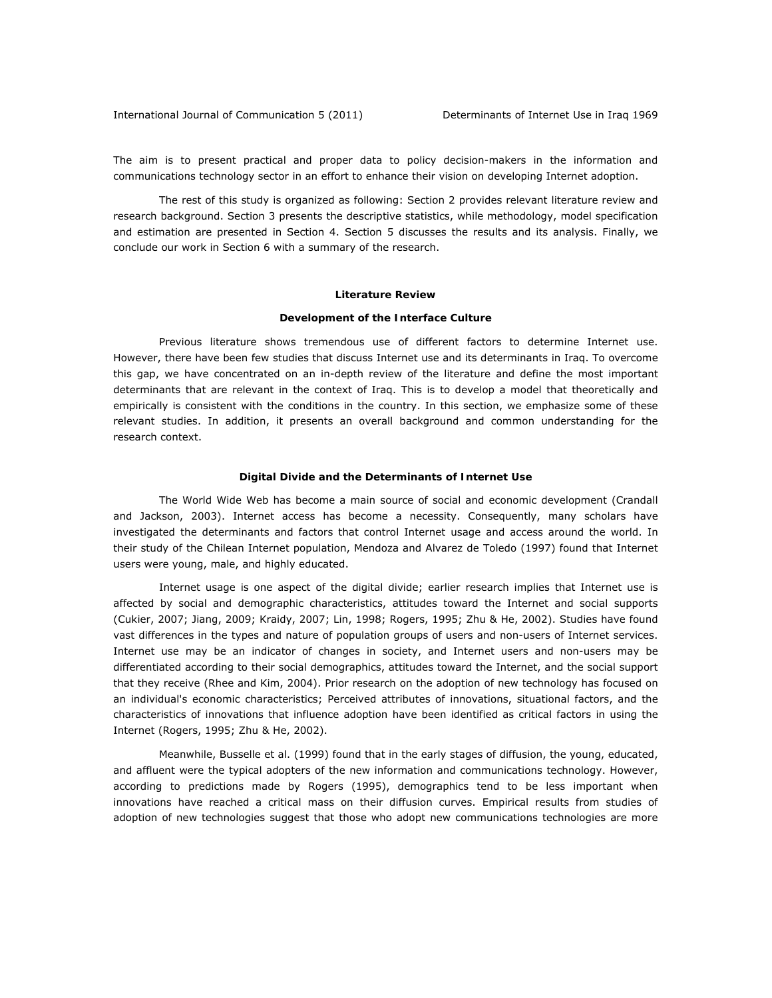The aim is to present practical and proper data to policy decision-makers in the information and communications technology sector in an effort to enhance their vision on developing Internet adoption.

The rest of this study is organized as following: Section 2 provides relevant literature review and research background. Section 3 presents the descriptive statistics, while methodology, model specification and estimation are presented in Section 4. Section 5 discusses the results and its analysis. Finally, we conclude our work in Section 6 with a summary of the research.

#### **Literature Review**

#### *Development of the Interface Culture*

Previous literature shows tremendous use of different factors to determine Internet use. However, there have been few studies that discuss Internet use and its determinants in Iraq. To overcome this gap, we have concentrated on an in-depth review of the literature and define the most important determinants that are relevant in the context of Iraq. This is to develop a model that theoretically and empirically is consistent with the conditions in the country. In this section, we emphasize some of these relevant studies. In addition, it presents an overall background and common understanding for the research context.

### *Digital Divide and the Determinants of Internet Use*

The World Wide Web has become a main source of social and economic development (Crandall and Jackson, 2003). Internet access has become a necessity. Consequently, many scholars have investigated the determinants and factors that control Internet usage and access around the world. In their study of the Chilean Internet population, Mendoza and Alvarez de Toledo (1997) found that Internet users were young, male, and highly educated.

Internet usage is one aspect of the digital divide; earlier research implies that Internet use is affected by social and demographic characteristics, attitudes toward the Internet and social supports (Cukier, 2007; Jiang, 2009; Kraidy, 2007; Lin, 1998; Rogers, 1995; Zhu & He, 2002). Studies have found vast differences in the types and nature of population groups of users and non-users of Internet services. Internet use may be an indicator of changes in society, and Internet users and non-users may be differentiated according to their social demographics, attitudes toward the Internet, and the social support that they receive (Rhee and Kim, 2004). Prior research on the adoption of new technology has focused on an individual's economic characteristics; Perceived attributes of innovations, situational factors, and the characteristics of innovations that influence adoption have been identified as critical factors in using the Internet (Rogers, 1995; Zhu & He, 2002).

Meanwhile, Busselle et al. (1999) found that in the early stages of diffusion, the young, educated, and affluent were the typical adopters of the new information and communications technology. However, according to predictions made by Rogers (1995), demographics tend to be less important when innovations have reached a critical mass on their diffusion curves. Empirical results from studies of adoption of new technologies suggest that those who adopt new communications technologies are more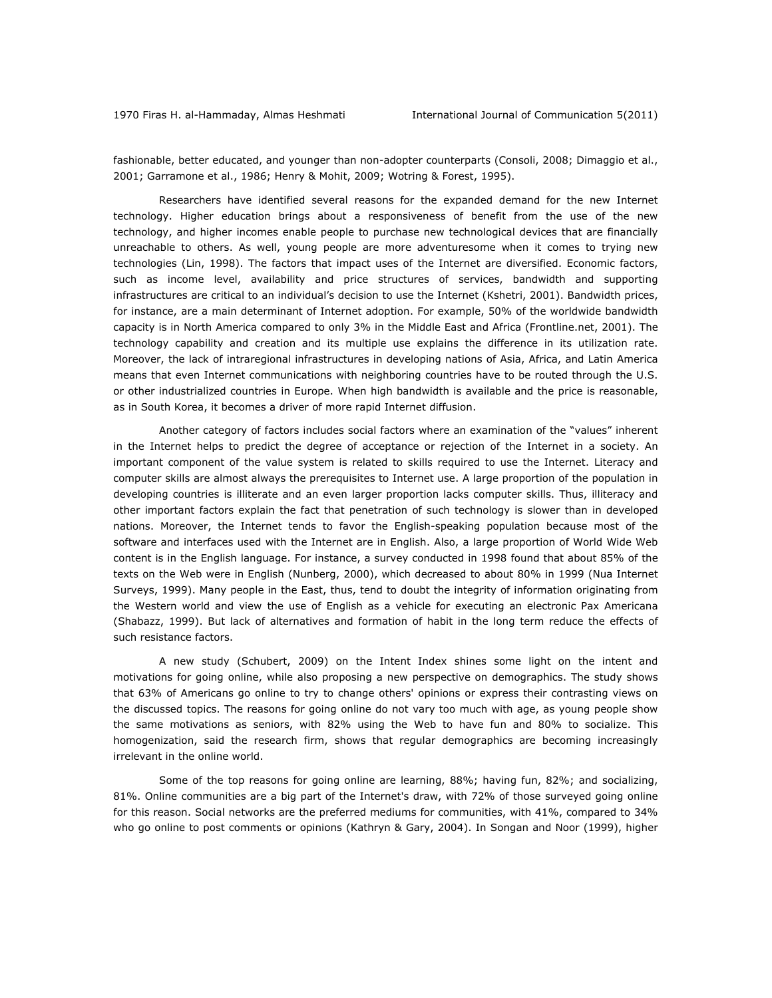fashionable, better educated, and younger than non-adopter counterparts (Consoli, 2008; Dimaggio et al., 2001; Garramone et al., 1986; Henry & Mohit, 2009; Wotring & Forest, 1995).

Researchers have identified several reasons for the expanded demand for the new Internet technology. Higher education brings about a responsiveness of benefit from the use of the new technology, and higher incomes enable people to purchase new technological devices that are financially unreachable to others. As well, young people are more adventuresome when it comes to trying new technologies (Lin, 1998). The factors that impact uses of the Internet are diversified. Economic factors, such as income level, availability and price structures of services, bandwidth and supporting infrastructures are critical to an individual's decision to use the Internet (Kshetri, 2001). Bandwidth prices, for instance, are a main determinant of Internet adoption. For example, 50% of the worldwide bandwidth capacity is in North America compared to only 3% in the Middle East and Africa (Frontline.net, 2001). The technology capability and creation and its multiple use explains the difference in its utilization rate. Moreover, the lack of intraregional infrastructures in developing nations of Asia, Africa, and Latin America means that even Internet communications with neighboring countries have to be routed through the U.S. or other industrialized countries in Europe. When high bandwidth is available and the price is reasonable, as in South Korea, it becomes a driver of more rapid Internet diffusion.

Another category of factors includes social factors where an examination of the "values" inherent in the Internet helps to predict the degree of acceptance or rejection of the Internet in a society. An important component of the value system is related to skills required to use the Internet. Literacy and computer skills are almost always the prerequisites to Internet use. A large proportion of the population in developing countries is illiterate and an even larger proportion lacks computer skills. Thus, illiteracy and other important factors explain the fact that penetration of such technology is slower than in developed nations. Moreover, the Internet tends to favor the English-speaking population because most of the software and interfaces used with the Internet are in English. Also, a large proportion of World Wide Web content is in the English language. For instance, a survey conducted in 1998 found that about 85% of the texts on the Web were in English (Nunberg, 2000), which decreased to about 80% in 1999 (Nua Internet Surveys, 1999). Many people in the East, thus, tend to doubt the integrity of information originating from the Western world and view the use of English as a vehicle for executing an electronic *Pax Americana* (Shabazz, 1999). But lack of alternatives and formation of habit in the long term reduce the effects of such resistance factors.

A new study (Schubert, 2009) on the Intent Index shines some light on the intent and motivations for going online, while also proposing a new perspective on demographics. The study shows that 63% of Americans go online to try to change others' opinions or express their contrasting views on the discussed topics. The reasons for going online do not vary too much with age, as young people show the same motivations as seniors, with 82% using the Web to have fun and 80% to socialize. This homogenization, said the research firm, shows that regular demographics are becoming increasingly irrelevant in the online world.

Some of the top reasons for going online are learning, 88%; having fun, 82%; and socializing, 81%. Online communities are a big part of the Internet's draw, with 72% of those surveyed going online for this reason. Social networks are the preferred mediums for communities, with 41%, compared to 34% who go online to post comments or opinions (Kathryn & Gary, 2004). In Songan and Noor (1999), higher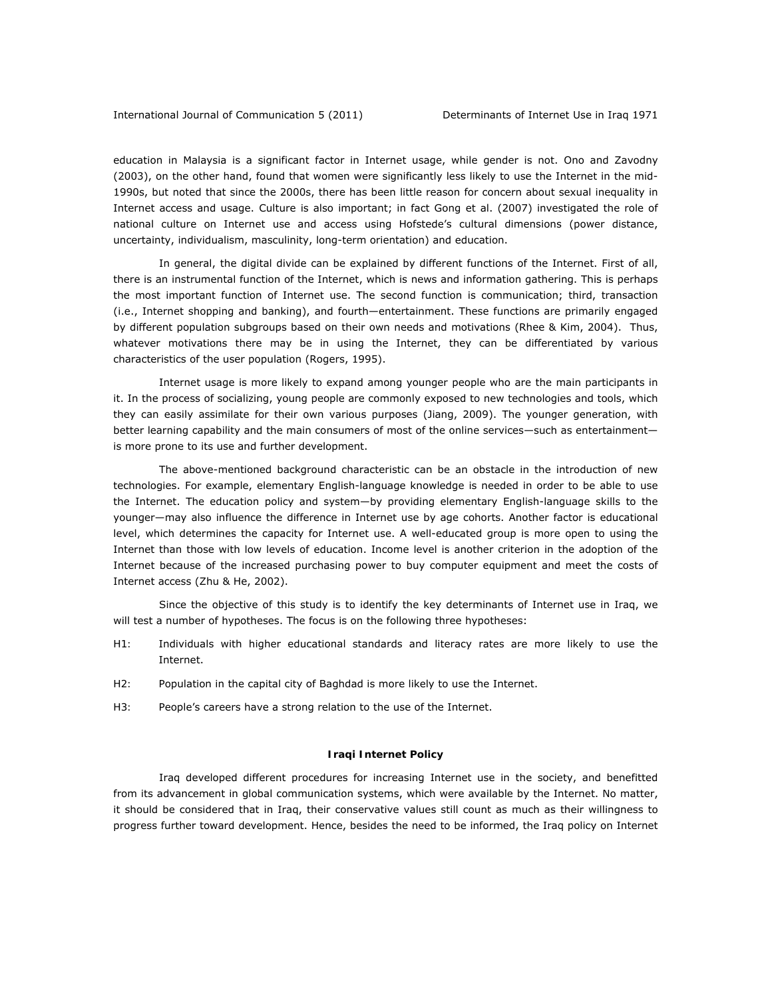education in Malaysia is a significant factor in Internet usage, while gender is not. Ono and Zavodny (2003), on the other hand, found that women were significantly less likely to use the Internet in the mid-1990s, but noted that since the 2000s, there has been little reason for concern about sexual inequality in Internet access and usage. Culture is also important; in fact Gong et al. (2007) investigated the role of national culture on Internet use and access using Hofstede's cultural dimensions (power distance, uncertainty, individualism, masculinity, long-term orientation) and education.

In general, the digital divide can be explained by different functions of the Internet. First of all, there is an instrumental function of the Internet, which is news and information gathering. This is perhaps the most important function of Internet use. The second function is communication; third, transaction (i.e., Internet shopping and banking), and fourth—entertainment. These functions are primarily engaged by different population subgroups based on their own needs and motivations (Rhee & Kim, 2004). Thus, whatever motivations there may be in using the Internet, they can be differentiated by various characteristics of the user population (Rogers, 1995).

Internet usage is more likely to expand among younger people who are the main participants in it. In the process of socializing, young people are commonly exposed to new technologies and tools, which they can easily assimilate for their own various purposes (Jiang, 2009). The younger generation, with better learning capability and the main consumers of most of the online services—such as entertainment is more prone to its use and further development.

The above-mentioned background characteristic can be an obstacle in the introduction of new technologies. For example, elementary English-language knowledge is needed in order to be able to use the Internet. The education policy and system—by providing elementary English-language skills to the younger—may also influence the difference in Internet use by age cohorts. Another factor is educational level, which determines the capacity for Internet use. A well-educated group is more open to using the Internet than those with low levels of education. Income level is another criterion in the adoption of the Internet because of the increased purchasing power to buy computer equipment and meet the costs of Internet access (Zhu & He, 2002).

Since the objective of this study is to identify the key determinants of Internet use in Iraq, we will test a number of hypotheses. The focus is on the following three hypotheses:

- *H1:* Individuals with higher educational standards and literacy rates are more likely to use the Internet.
- *H2:* Population in the capital city of Baghdad is more likely to use the Internet.
- *H3:* People's careers have a strong relation to the use of the Internet.

# *Iraqi Internet Policy*

Iraq developed different procedures for increasing Internet use in the society, and benefitted from its advancement in global communication systems, which were available by the Internet. No matter, it should be considered that in Iraq, their conservative values still count as much as their willingness to progress further toward development. Hence, besides the need to be informed, the Iraq policy on Internet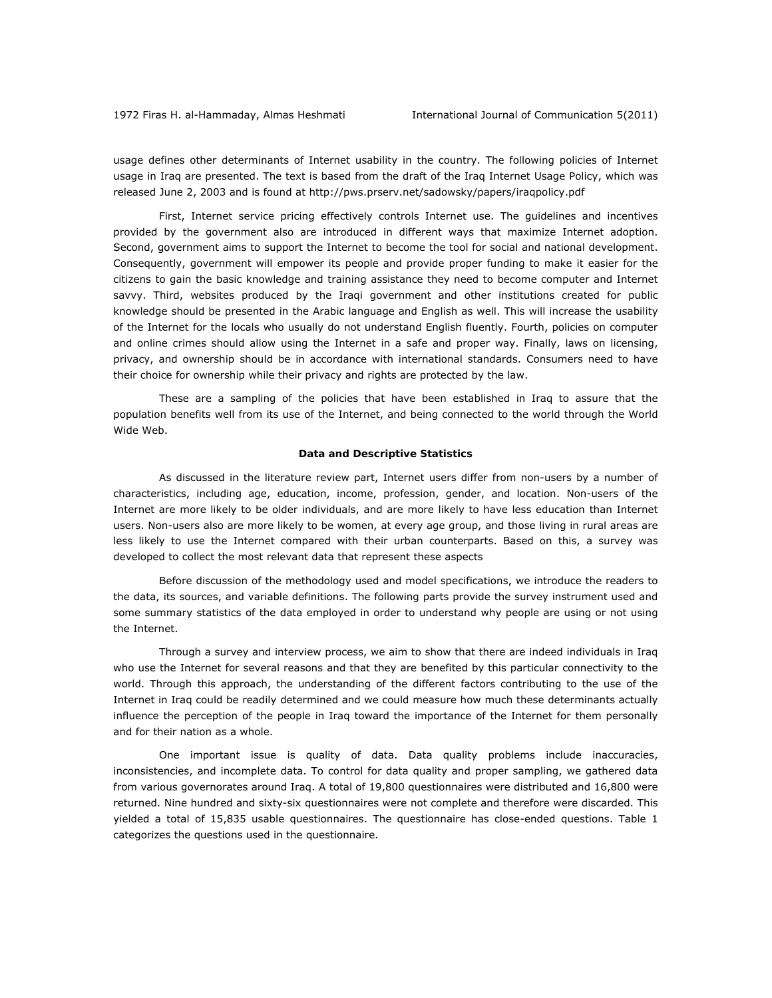usage defines other determinants of Internet usability in the country. The following policies of Internet usage in Iraq are presented. The text is based from the draft of the Iraq Internet Usage Policy, which was released June 2, 2003 and is found at http://pws.prserv.net/sadowsky/papers/iraqpolicy.pdf

First, Internet service pricing effectively controls Internet use. The guidelines and incentives provided by the government also are introduced in different ways that maximize Internet adoption. Second, government aims to support the Internet to become the tool for social and national development. Consequently, government will empower its people and provide proper funding to make it easier for the citizens to gain the basic knowledge and training assistance they need to become computer and Internet savvy. Third, websites produced by the Iraqi government and other institutions created for public knowledge should be presented in the Arabic language and English as well. This will increase the usability of the Internet for the locals who usually do not understand English fluently. Fourth, policies on computer and online crimes should allow using the Internet in a safe and proper way. Finally, laws on licensing, privacy, and ownership should be in accordance with international standards. Consumers need to have their choice for ownership while their privacy and rights are protected by the law.

These are a sampling of the policies that have been established in Iraq to assure that the population benefits well from its use of the Internet, and being connected to the world through the World Wide Web.

#### **Data and Descriptive Statistics**

As discussed in the literature review part, Internet users differ from non-users by a number of characteristics, including age, education, income, profession, gender, and location. Non-users of the Internet are more likely to be older individuals, and are more likely to have less education than Internet users. Non-users also are more likely to be women, at every age group, and those living in rural areas are less likely to use the Internet compared with their urban counterparts. Based on this, a survey was developed to collect the most relevant data that represent these aspects

Before discussion of the methodology used and model specifications, we introduce the readers to the data, its sources, and variable definitions. The following parts provide the survey instrument used and some summary statistics of the data employed in order to understand why people are using or not using the Internet.

Through a survey and interview process, we aim to show that there are indeed individuals in Iraq who use the Internet for several reasons and that they are benefited by this particular connectivity to the world. Through this approach, the understanding of the different factors contributing to the use of the Internet in Iraq could be readily determined and we could measure how much these determinants actually influence the perception of the people in Iraq toward the importance of the Internet for them personally and for their nation as a whole.

One important issue is quality of data. Data quality problems include inaccuracies, inconsistencies, and incomplete data. To control for data quality and proper sampling, we gathered data from various governorates around Iraq. A total of 19,800 questionnaires were distributed and 16,800 were returned. Nine hundred and sixty-six questionnaires were not complete and therefore were discarded. This yielded a total of 15,835 usable questionnaires. The questionnaire has close-ended questions. Table 1 categorizes the questions used in the questionnaire.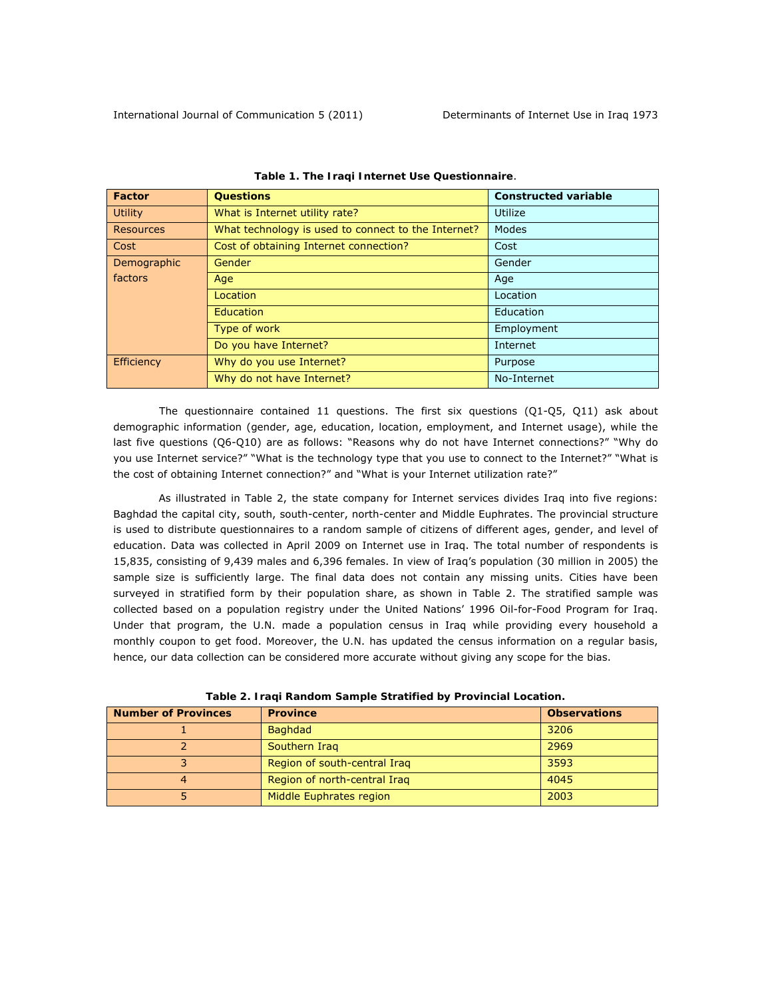| Factor      | <b>Questions</b>                                    | <b>Constructed variable</b> |
|-------------|-----------------------------------------------------|-----------------------------|
| Utility     | What is Internet utility rate?                      | Utilize                     |
| Resources   | What technology is used to connect to the Internet? | Modes                       |
| Cost        | Cost of obtaining Internet connection?              | Cost                        |
| Demographic | <b>Gender</b>                                       | Gender                      |
| factors     | Age                                                 | Age                         |
|             | Location                                            | Location                    |
|             | <b>Education</b>                                    | Education                   |
|             | Type of work                                        | Employment                  |
|             | Do you have Internet?                               | Internet                    |
| Efficiency  | Why do you use Internet?                            | Purpose                     |
|             | Why do not have Internet?                           | No-Internet                 |

|  | Table 1. The Iraqi Internet Use Questionnaire. |
|--|------------------------------------------------|
|  |                                                |

The questionnaire contained 11 questions. The first six questions (Q1-Q5, Q11) ask about demographic information (gender, age, education, location, employment, and Internet usage), while the last five questions (Q6-Q10) are as follows: "Reasons why do not have Internet connections?" "Why do you use Internet service?" "What is the technology type that you use to connect to the Internet?" "What is the cost of obtaining Internet connection?" and "What is your Internet utilization rate?"

As illustrated in Table 2, the state company for Internet services divides Iraq into five regions: Baghdad the capital city, south, south-center, north-center and Middle Euphrates. The provincial structure is used to distribute questionnaires to a random sample of citizens of different ages, gender, and level of education. Data was collected in April 2009 on Internet use in Iraq. The total number of respondents is 15,835, consisting of 9,439 males and 6,396 females. In view of Iraq's population (30 million in 2005) the sample size is sufficiently large. The final data does not contain any missing units. Cities have been surveyed in stratified form by their population share, as shown in Table 2. The stratified sample was collected based on a population registry under the United Nations' 1996 Oil-for-Food Program for Iraq. Under that program, the U.N. made a population census in Iraq while providing every household a monthly coupon to get food. Moreover, the U.N. has updated the census information on a regular basis, hence, our data collection can be considered more accurate without giving any scope for the bias.

| <b>Number of Provinces</b> | <b>Province</b>              | <b>Observations</b> |
|----------------------------|------------------------------|---------------------|
|                            | <b>Baghdad</b>               | 3206                |
|                            | Southern Iraq                | 2969                |
|                            | Region of south-central Iraq | 3593                |
|                            | Region of north-central Iraq | 4045                |
|                            | Middle Euphrates region      | 2003                |

*Table 2. Iraqi Random Sample Stratified by Provincial Location.*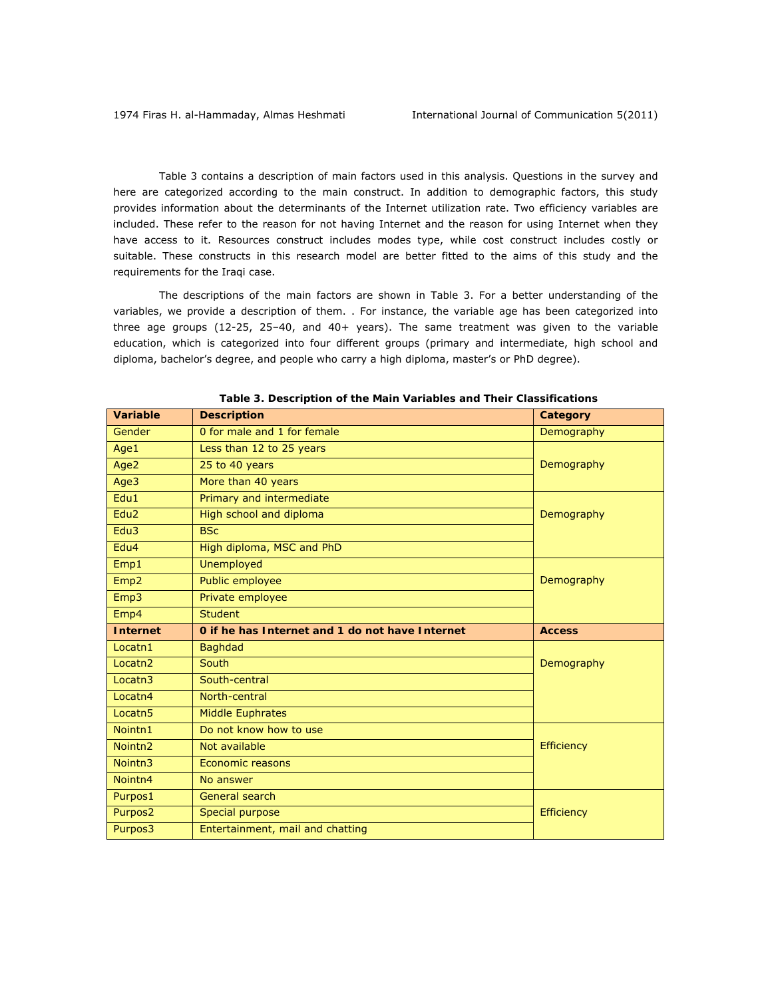Table 3 contains a description of main factors used in this analysis. Questions in the survey and here are categorized according to the main construct. In addition to demographic factors, this study provides information about the determinants of the Internet utilization rate. Two efficiency variables are included. These refer to the reason for not having Internet and the reason for using Internet when they have access to it. Resources construct includes modes type, while cost construct includes costly or suitable. These constructs in this research model are better fitted to the aims of this study and the requirements for the Iraqi case.

The descriptions of the main factors are shown in Table 3. For a better understanding of the variables, we provide a description of them. . For instance, the variable *age* has been categorized into three age groups (12-25, 25–40, and 40+ years). The same treatment was given to the variable *education*, which is categorized into four different groups (primary and intermediate, high school and diploma, bachelor's degree, and people who carry a high diploma, master's or PhD degree).

| Variable            | <b>Description</b>                              | Category          |
|---------------------|-------------------------------------------------|-------------------|
| Gender              | 0 for male and 1 for female                     | Demography        |
| Age1                | Less than 12 to 25 years                        |                   |
| Age2                | 25 to 40 years                                  | Demography        |
| Age3                | More than 40 years                              |                   |
| Edu1                | Primary and intermediate                        |                   |
| Edu <sub>2</sub>    | High school and diploma                         | Demography        |
| Edu3                | <b>BSc</b>                                      |                   |
| Edu4                | High diploma, MSC and PhD                       |                   |
| Emp1                | <b>Unemployed</b>                               |                   |
| Emp <sub>2</sub>    | Public employee                                 | Demography        |
| Emp3                | Private employee                                |                   |
| Emp4                | <b>Student</b>                                  |                   |
|                     |                                                 |                   |
| <b>Internet</b>     | 0 if he has Internet and 1 do not have Internet | <b>Access</b>     |
| Locatn1             | <b>Baghdad</b>                                  |                   |
| Locatn <sub>2</sub> | South                                           | Demography        |
| Locatn <sub>3</sub> | South-central                                   |                   |
| Locatn4             | North-central                                   |                   |
| Locatn <sub>5</sub> | <b>Middle Euphrates</b>                         |                   |
| Nointn1             | Do not know how to use                          |                   |
| Nointn <sub>2</sub> | Not available                                   | <b>Efficiency</b> |
| Nointn3             | <b>Economic reasons</b>                         |                   |
| Nointn4             | No answer                                       |                   |
| Purpos1             | General search                                  |                   |
| Purpos <sub>2</sub> | Special purpose                                 | <b>Efficiency</b> |

|  |  |  |  |  | Table 3. Description of the Main Variables and Their Classifications |
|--|--|--|--|--|----------------------------------------------------------------------|
|--|--|--|--|--|----------------------------------------------------------------------|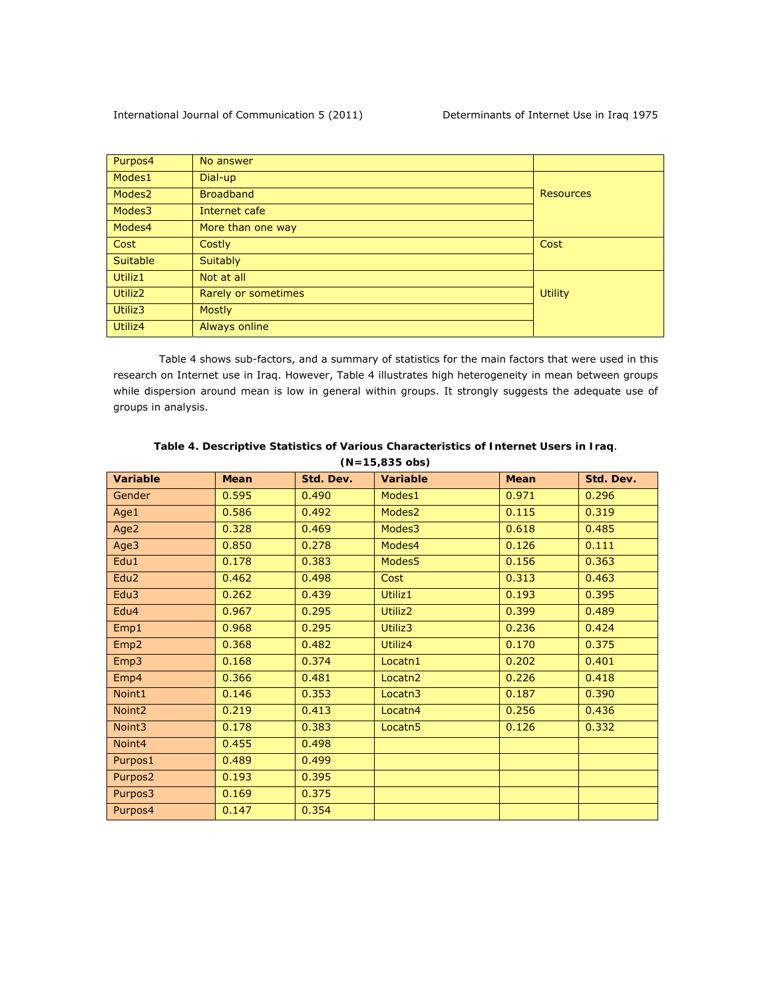| Purpos4             | No answer           |                |  |
|---------------------|---------------------|----------------|--|
| Modes1              | Dial-up             |                |  |
| Modes <sub>2</sub>  | <b>Broadband</b>    |                |  |
| Modes3              | Internet cafe       |                |  |
| Modes4              | More than one way   |                |  |
| Cost                | Costly              | Cost           |  |
| <b>Suitable</b>     | <b>Suitably</b>     |                |  |
| Utiliz1             | Not at all          |                |  |
| Utiliz <sub>2</sub> | Rarely or sometimes | <b>Utility</b> |  |
| Utiliz3             | <b>Mostly</b>       |                |  |
| Utiliz4             | Always online       |                |  |

Table 4 shows sub-factors, and a summary of statistics for the main factors that were used in this research on Internet use in Iraq. However, Table 4 illustrates high heterogeneity in mean between groups while dispersion around mean is low in general within groups. It strongly suggests the adequate use of groups in analysis.

| <b>Variable</b>    | <b>Mean</b> | Std. Dev. | <b>Variable</b>     | <b>Mean</b> | Std. Dev. |  |  |
|--------------------|-------------|-----------|---------------------|-------------|-----------|--|--|
| Gender             | 0.595       | 0.490     | Modes1              | 0.971       | 0.296     |  |  |
| Age1               | 0.586       | 0.492     | Modes2              | 0.115       | 0.319     |  |  |
| Age2               | 0.328       | 0.469     | Modes3              | 0.618       | 0.485     |  |  |
| Age3               | 0.850       | 0.278     | Modes4              | 0.126       | 0.111     |  |  |
| Edu1               | 0.178       | 0.383     | Modes5              | 0.156       | 0.363     |  |  |
| Edu <sub>2</sub>   | 0.462       | 0.498     | Cost                | 0.313       | 0.463     |  |  |
| Edu <sub>3</sub>   | 0.262       | 0.439     | Utiliz1             | 0.193       | 0.395     |  |  |
| Edu4               | 0.967       | 0.295     | Utiliz2             | 0.399       | 0.489     |  |  |
| Emp1               | 0.968       | 0.295     | Utiliz3             | 0.236       | 0.424     |  |  |
| Emp <sub>2</sub>   | 0.368       | 0.482     | Utiliz4             | 0.170       | 0.375     |  |  |
| Emp3               | 0.168       | 0.374     | Locatn1             | 0.202       | 0.401     |  |  |
| Emp4               | 0.366       | 0.481     | Locatn <sub>2</sub> | 0.226       | 0.418     |  |  |
| Noint1             | 0.146       | 0.353     | Locatn <sub>3</sub> | 0.187       | 0.390     |  |  |
| Noint <sub>2</sub> | 0.219       | 0.413     | Locatn4             | 0.256       | 0.436     |  |  |
| Noint3             | 0.178       | 0.383     | Locatn <sub>5</sub> | 0.126       | 0.332     |  |  |
| Noint4             | 0.455       | 0.498     |                     |             |           |  |  |
| Purpos1            | 0.489       | 0.499     |                     |             |           |  |  |
| Purpos2            | 0.193       | 0.395     |                     |             |           |  |  |
| Purpos3            | 0.169       | 0.375     |                     |             |           |  |  |
| Purpos4            | 0.147       | 0.354     |                     |             |           |  |  |

*Table 4. Descriptive Statistics of Various Characteristics of Internet Users in Iraq*. *(N=15,835 obs)*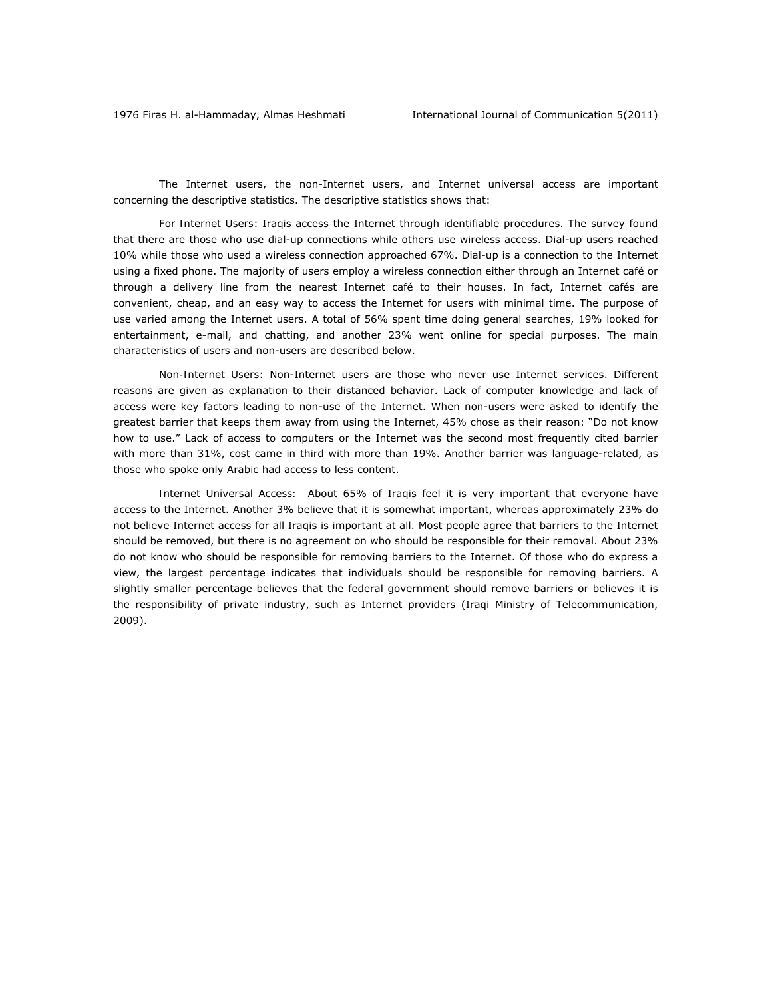The Internet users, the non-Internet users, and Internet universal access are important concerning the descriptive statistics. The descriptive statistics shows that:

*For Internet Users*: Iraqis access the Internet through identifiable procedures. The survey found that there are those who use dial-up connections while others use wireless access. Dial-up users reached 10% while those who used a wireless connection approached 67%. Dial-up is a connection to the Internet using a fixed phone. The majority of users employ a wireless connection either through an Internet café or through a delivery line from the nearest Internet café to their houses. In fact, Internet cafés are convenient, cheap, and an easy way to access the Internet for users with minimal time. The purpose of use varied among the Internet users. A total of 56% spent time doing general searches, 19% looked for entertainment, e-mail, and chatting, and another 23% went online for special purposes. The main characteristics of users and non-users are described below.

*Non-Internet Users*: Non-Internet users are those who never use Internet services. Different reasons are given as explanation to their distanced behavior. Lack of computer knowledge and lack of access were key factors leading to non-use of the Internet. When non-users were asked to identify the greatest barrier that keeps them away from using the Internet, 45% chose as their reason: "Do not know how to use." Lack of access to computers or the Internet was the second most frequently cited barrier with more than 31%, cost came in third with more than 19%. Another barrier was language-related, as those who spoke only Arabic had access to less content.

*Internet Universal Access:*About 65% of Iraqis feel it is very important that everyone have access to the Internet. Another 3% believe that it is somewhat important, whereas approximately 23% do not believe Internet access for all Iraqis is important at all. Most people agree that barriers to the Internet should be removed, but there is no agreement on who should be responsible for their removal. About 23% do not know who should be responsible for removing barriers to the Internet. Of those who do express a view, the largest percentage indicates that individuals should be responsible for removing barriers. A slightly smaller percentage believes that the federal government should remove barriers or believes it is the responsibility of private industry, such as Internet providers (Iraqi Ministry of Telecommunication, 2009).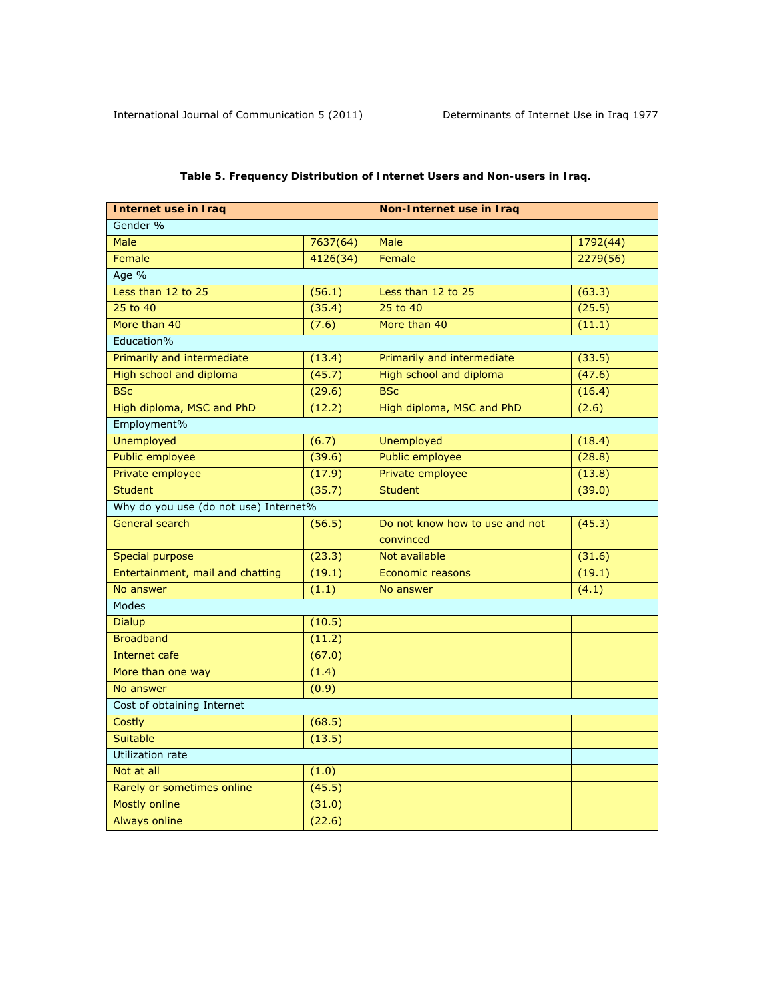| Internet use in Iraq                  |          | Non-Internet use in Iraq       |          |  |
|---------------------------------------|----------|--------------------------------|----------|--|
| Gender %                              |          |                                |          |  |
| Male                                  | 7637(64) | Male                           | 1792(44) |  |
| Female                                | 4126(34) | Female                         | 2279(56) |  |
| Age %                                 |          |                                |          |  |
| Less than 12 to 25                    | (56.1)   | Less than 12 to 25             | (63.3)   |  |
| 25 to 40                              | (35.4)   | 25 to 40                       | (25.5)   |  |
| More than 40                          | (7.6)    | More than 40                   | (11.1)   |  |
| Education%                            |          |                                |          |  |
| Primarily and intermediate            | (13.4)   | Primarily and intermediate     | (33.5)   |  |
| High school and diploma               | (45.7)   | High school and diploma        | (47.6)   |  |
| <b>BSc</b>                            | (29.6)   | <b>BSc</b>                     | (16.4)   |  |
| High diploma, MSC and PhD             | (12.2)   | High diploma, MSC and PhD      | (2.6)    |  |
| Employment%                           |          |                                |          |  |
| Unemployed                            | (6.7)    | <b>Unemployed</b>              | (18.4)   |  |
| Public employee                       | (39.6)   | <b>Public employee</b>         | (28.8)   |  |
| Private employee                      | (17.9)   | Private employee               | (13.8)   |  |
| <b>Student</b>                        | (35.7)   | <b>Student</b>                 | (39.0)   |  |
| Why do you use (do not use) Internet% |          |                                |          |  |
| General search                        | (56.5)   | Do not know how to use and not | (45.3)   |  |
|                                       |          | convinced                      |          |  |
| Special purpose                       | (23.3)   | Not available                  | (31.6)   |  |
| Entertainment, mail and chatting      | (19.1)   | Economic reasons               | (19.1)   |  |
| No answer                             | (1.1)    | No answer                      | (4.1)    |  |
| <b>Modes</b>                          |          |                                |          |  |
| <b>Dialup</b>                         | (10.5)   |                                |          |  |
| <b>Broadband</b>                      | (11.2)   |                                |          |  |
| Internet cafe                         | (67.0)   |                                |          |  |
| More than one way                     | (1.4)    |                                |          |  |
| No answer                             | (0.9)    |                                |          |  |
| Cost of obtaining Internet            |          |                                |          |  |
| Costly                                | (68.5)   |                                |          |  |
| <b>Suitable</b>                       | (13.5)   |                                |          |  |
| <b>Utilization rate</b>               |          |                                |          |  |
| Not at all                            | (1.0)    |                                |          |  |
| Rarely or sometimes online            | (45.5)   |                                |          |  |
| <b>Mostly online</b>                  | (31.0)   |                                |          |  |
| <b>Always online</b>                  | (22.6)   |                                |          |  |

# *Table 5. Frequency Distribution of Internet Users and Non-users in Iraq.*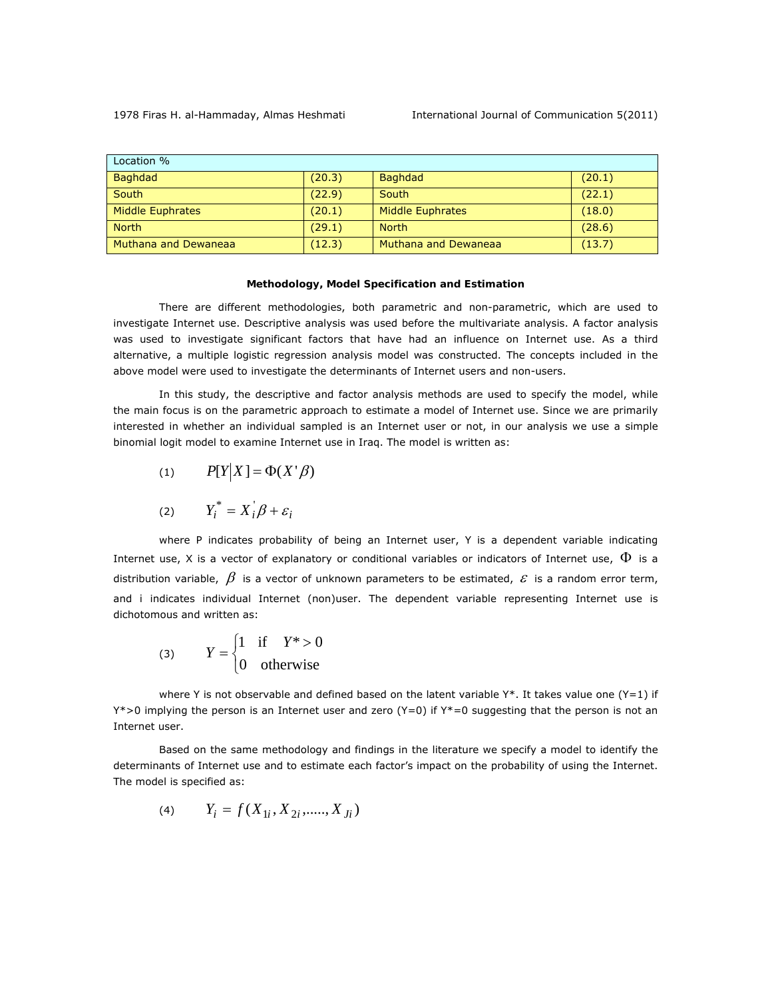| Location %           |        |                             |        |
|----------------------|--------|-----------------------------|--------|
| Baghdad              | (20.3) | <b>Baghdad</b>              | (20.1) |
| South                | (22.9) | South                       | (22.1) |
| Middle Euphrates     | (20.1) | <b>Middle Euphrates</b>     | (18.0) |
| <b>North</b>         | (29.1) | <b>North</b>                | (28.6) |
| Muthana and Dewaneaa | (12.3) | <b>Muthana and Dewaneaa</b> | (13.7) |

#### **Methodology, Model Specification and Estimation**

There are different methodologies, both parametric and non-parametric, which are used to investigate Internet use. Descriptive analysis was used before the multivariate analysis. A factor analysis was used to investigate significant factors that have had an influence on Internet use. As a third alternative, a multiple logistic regression analysis model was constructed. The concepts included in the above model were used to investigate the determinants of Internet users and non-users.

In this study, the descriptive and factor analysis methods are used to specify the model, while the main focus is on the parametric approach to estimate a model of Internet use. Since we are primarily interested in whether an individual sampled is an Internet user or not, in our analysis we use a simple binomial logit model to examine Internet use in Iraq. The model is written as:

$$
(1) \qquad P[Y|X] = \Phi(X' \beta)
$$

$$
(2) \tY_i^* = X_i \beta + \varepsilon_i
$$

where P indicates probability of being an Internet user, Y is a dependent variable indicating Internet use, X is a vector of explanatory or conditional variables or indicators of Internet use,  $\Phi$  is a distribution variable,  $\beta$  is a vector of unknown parameters to be estimated,  $\varepsilon$  is a random error term, and *i* indicates individual Internet (non)user. The dependent variable representing Internet use is dichotomous and written as:

(3) 
$$
Y = \begin{cases} 1 & \text{if } Y^* > 0 \\ 0 & \text{otherwise} \end{cases}
$$

where Y is not observable and defined based on the latent variable  $Y^*$ . It takes value one  $(Y=1)$  if  $Y^*$ >0 implying the person is an Internet user and zero ( $Y=0$ ) if  $Y^*=0$  suggesting that the person is not an Internet user.

Based on the same methodology and findings in the literature we specify a model to identify the determinants of Internet use and to estimate each factor's impact on the probability of using the Internet. The model is specified as:

(4) 
$$
Y_i = f(X_{1i}, X_{2i}, \dots, X_{Ji})
$$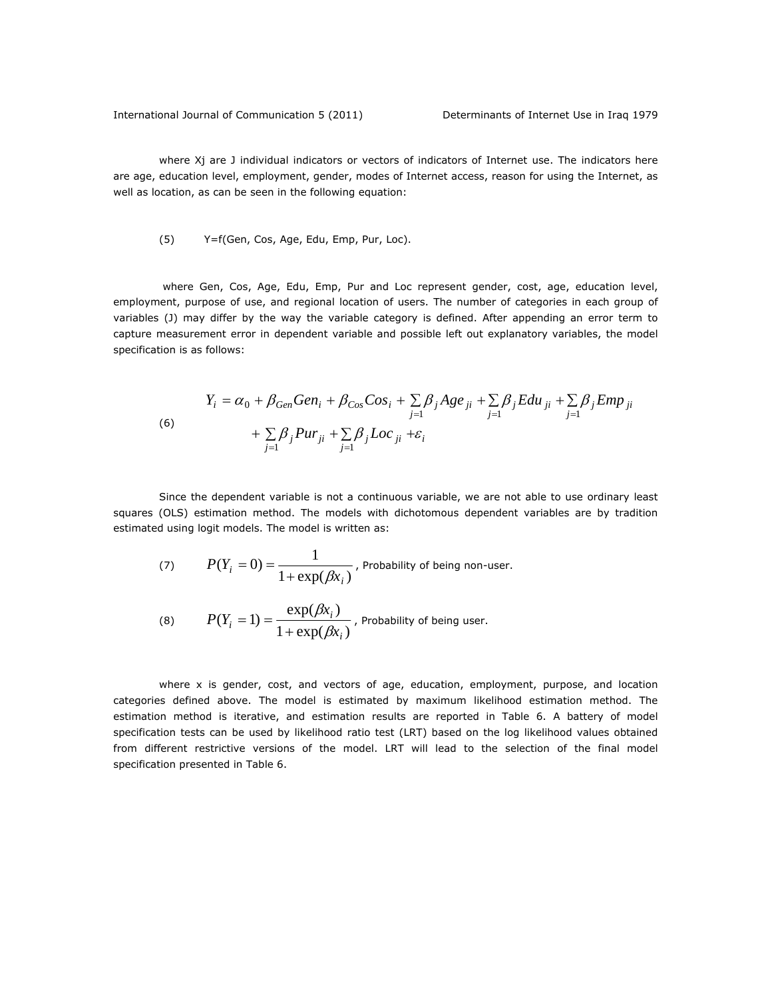where Xj are J individual indicators or vectors of indicators of Internet use. The indicators here are age, education level, employment, gender, modes of Internet access, reason for using the Internet, as well as location, as can be seen in the following equation:

#### (5) Y=f(Gen, Cos, Age, Edu, Emp, Pur, Loc).

 where Gen, Cos, Age, Edu, Emp, Pur and Loc represent gender, cost, age, education level, employment, purpose of use, and regional location of users. The number of categories in each group of variables (J) may differ by the way the variable category is defined. After appending an error term to capture measurement error in dependent variable and possible left out explanatory variables, the model specification is as follows:

(6)  
\n
$$
Y_i = \alpha_0 + \beta_{Gen} Gen_i + \beta_{Cos} Cos_i + \sum_{j=1} \beta_j Age_{ji} + \sum_{j=1} \beta_j Edu_{ji} + \sum_{j=1} \beta_j Emp_{ji}
$$
\n
$$
+ \sum_{j=1} \beta_j Pur_{ji} + \sum_{j=1} \beta_j Loc_{ji} + \varepsilon_i
$$

Since the dependent variable is not a continuous variable, we are not able to use ordinary least squares (OLS) estimation method. The models with dichotomous dependent variables are by tradition estimated using logit models. The model is written as:

(7) 
$$
P(Y_i = 0) = \frac{1}{1 + \exp(\beta x_i)},
$$
 Probability of being non-user.

(8) 
$$
P(Y_i = 1) = \frac{\exp(\beta x_i)}{1 + \exp(\beta x_i)},
$$
 Probability of being user.

where x is gender, cost, and vectors of age, education, employment, purpose, and location categories defined above. The model is estimated by maximum likelihood estimation method. The estimation method is iterative, and estimation results are reported in Table 6. A battery of model specification tests can be used by likelihood ratio test (LRT) based on the log likelihood values obtained from different restrictive versions of the model. LRT will lead to the selection of the final model specification presented in Table 6.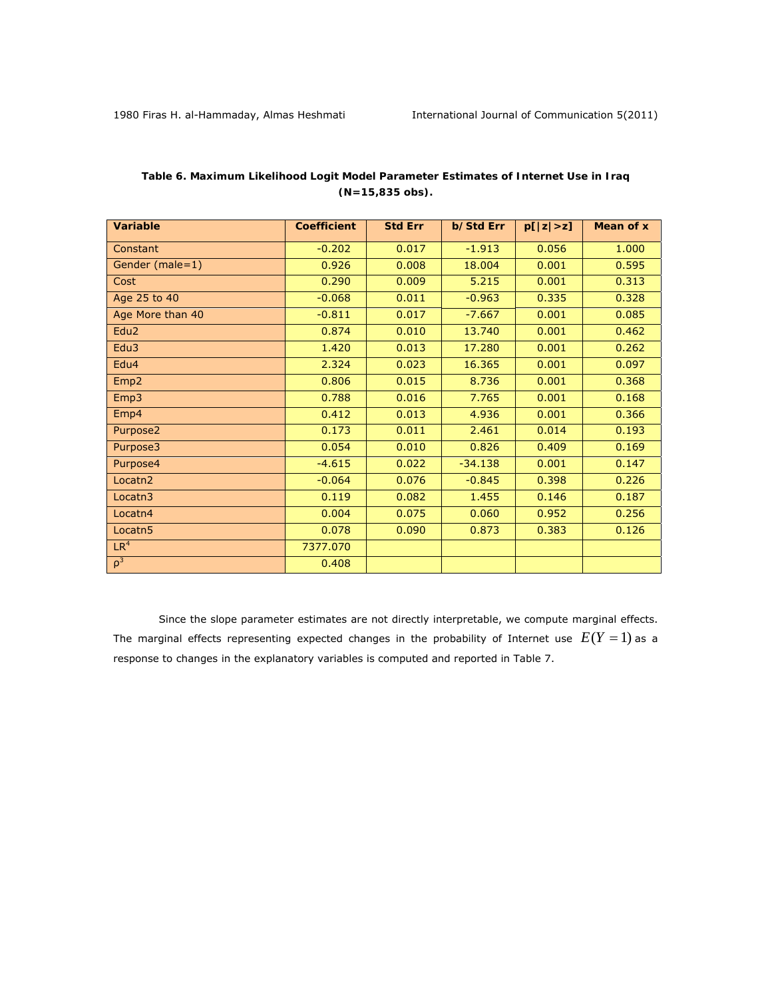| <b>Variable</b>     | <b>Coefficient</b> | <b>Std Err</b> | b/Std Err | p[ z >z] | Mean of x |
|---------------------|--------------------|----------------|-----------|----------|-----------|
| Constant            | $-0.202$           | 0.017          | $-1.913$  | 0.056    | 1.000     |
| Gender (male=1)     | 0.926              | 0.008          | 18.004    | 0.001    | 0.595     |
| Cost                | 0.290              | 0.009          | 5.215     | 0.001    | 0.313     |
| Age 25 to 40        | $-0.068$           | 0.011          | $-0.963$  | 0.335    | 0.328     |
| Age More than 40    | $-0.811$           | 0.017          | $-7.667$  | 0.001    | 0.085     |
| Edu <sub>2</sub>    | 0.874              | 0.010          | 13.740    | 0.001    | 0.462     |
| Edu3                | 1.420              | 0.013          | 17.280    | 0.001    | 0.262     |
| Edu4                | 2.324              | 0.023          | 16.365    | 0.001    | 0.097     |
| Emp <sub>2</sub>    | 0.806              | 0.015          | 8.736     | 0.001    | 0.368     |
| Emp3                | 0.788              | 0.016          | 7.765     | 0.001    | 0.168     |
| Emp4                | 0.412              | 0.013          | 4.936     | 0.001    | 0.366     |
| Purpose2            | 0.173              | 0.011          | 2.461     | 0.014    | 0.193     |
| Purpose3            | 0.054              | 0.010          | 0.826     | 0.409    | 0.169     |
| Purpose4            | $-4.615$           | 0.022          | $-34.138$ | 0.001    | 0.147     |
| Locatn <sub>2</sub> | $-0.064$           | 0.076          | $-0.845$  | 0.398    | 0.226     |
| Locatn3             | 0.119              | 0.082          | 1.455     | 0.146    | 0.187     |
| Locatn4             | 0.004              | 0.075          | 0.060     | 0.952    | 0.256     |
| Locatn <sub>5</sub> | 0.078              | 0.090          | 0.873     | 0.383    | 0.126     |
| LR <sup>4</sup>     | 7377.070           |                |           |          |           |
| $\rho^3$            | 0.408              |                |           |          |           |

# *Table 6. Maximum Likelihood Logit Model Parameter Estimates of Internet Use in Iraq (N=15,835 obs).*

Since the slope parameter estimates are not directly interpretable, we compute marginal effects. The marginal effects representing expected changes in the probability of Internet use  $E(Y = 1)$  as a response to changes in the explanatory variables is computed and reported in Table 7.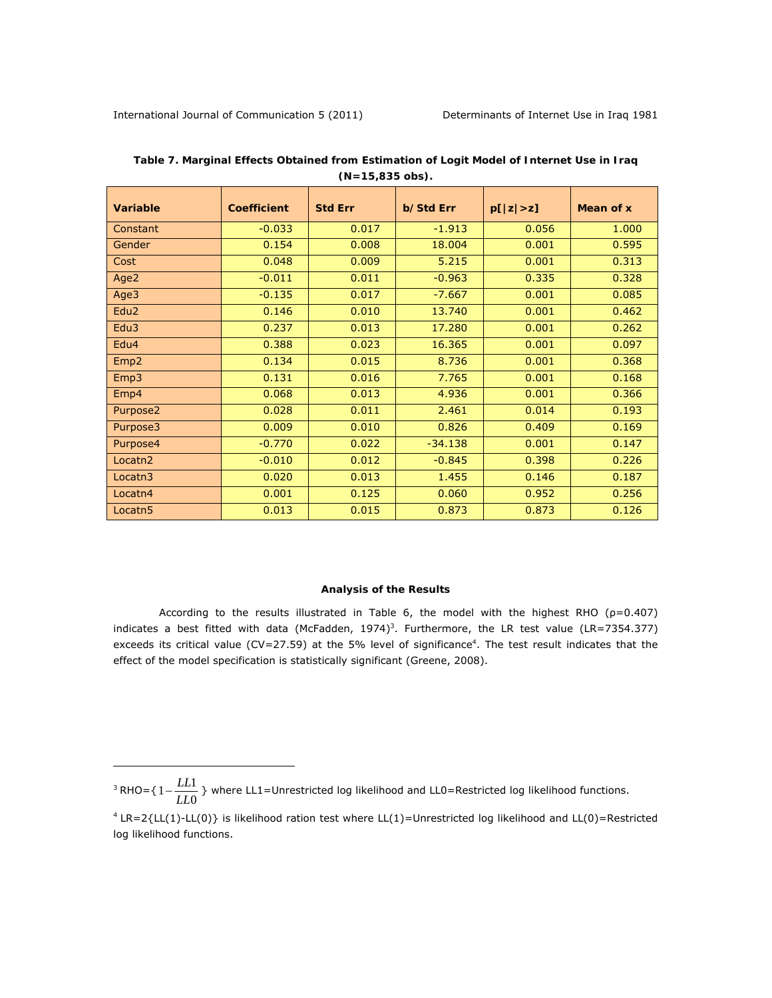$\overline{a}$ 

| Variable            | <b>Coefficient</b> | <b>Std Err</b> | <b>b/Std Err</b> | p[ z >z] | Mean of x |
|---------------------|--------------------|----------------|------------------|----------|-----------|
| Constant            | $-0.033$           | 0.017          | $-1.913$         | 0.056    | 1.000     |
| Gender              | 0.154              | 0.008          | 18.004           | 0.001    | 0.595     |
| Cost                | 0.048              | 0.009          | 5.215            | 0.001    | 0.313     |
| Age2                | $-0.011$           | 0.011          | $-0.963$         | 0.335    | 0.328     |
| Age3                | $-0.135$           | 0.017          | $-7.667$         | 0.001    | 0.085     |
| Edu <sub>2</sub>    | 0.146              | 0.010          | 13.740           | 0.001    | 0.462     |
| Edu3                | 0.237              | 0.013          | 17.280           | 0.001    | 0.262     |
| Edu4                | 0.388              | 0.023          | 16.365           | 0.001    | 0.097     |
| Emp <sub>2</sub>    | 0.134              | 0.015          | 8.736            | 0.001    | 0.368     |
| Emp3                | 0.131              | 0.016          | 7.765            | 0.001    | 0.168     |
| Emp4                | 0.068              | 0.013          | 4.936            | 0.001    | 0.366     |
| Purpose2            | 0.028              | 0.011          | 2.461            | 0.014    | 0.193     |
| Purpose3            | 0.009              | 0.010          | 0.826            | 0.409    | 0.169     |
| Purpose4            | $-0.770$           | 0.022          | $-34.138$        | 0.001    | 0.147     |
| Locatn <sub>2</sub> | $-0.010$           | 0.012          | $-0.845$         | 0.398    | 0.226     |
| Locatn <sub>3</sub> | 0.020              | 0.013          | 1.455            | 0.146    | 0.187     |
| Locatn4             | 0.001              | 0.125          | 0.060            | 0.952    | 0.256     |
| Locatn <sub>5</sub> | 0.013              | 0.015          | 0.873            | 0.873    | 0.126     |

*Table 7. Marginal Effects Obtained from Estimation of Logit Model of Internet Use in Iraq (N=15,835 obs).* 

#### **Analysis of the Results**

According to the results illustrated in Table 6, the model with the highest RHO ( $p=0.407$ ) indicates a best fitted with data (McFadden, 1974)<sup>3</sup>. Furthermore, the LR test value (LR=7354.377) exceeds its critical value (CV=27.59) at the 5% level of significance $4$ . The test result indicates that the effect of the model specification is statistically significant (Greene, 2008).

<sup>&</sup>lt;sup>3</sup> RHO={ $1-\frac{LL1}{LL0}$ } where LL1=Unrestricted log likelihood and LL0=Restricted log likelihood functions.

<sup>4</sup> LR=2{LL(1)-LL(0)} is likelihood ration test where LL(1)=Unrestricted log likelihood and LL(0)=Restricted log likelihood functions.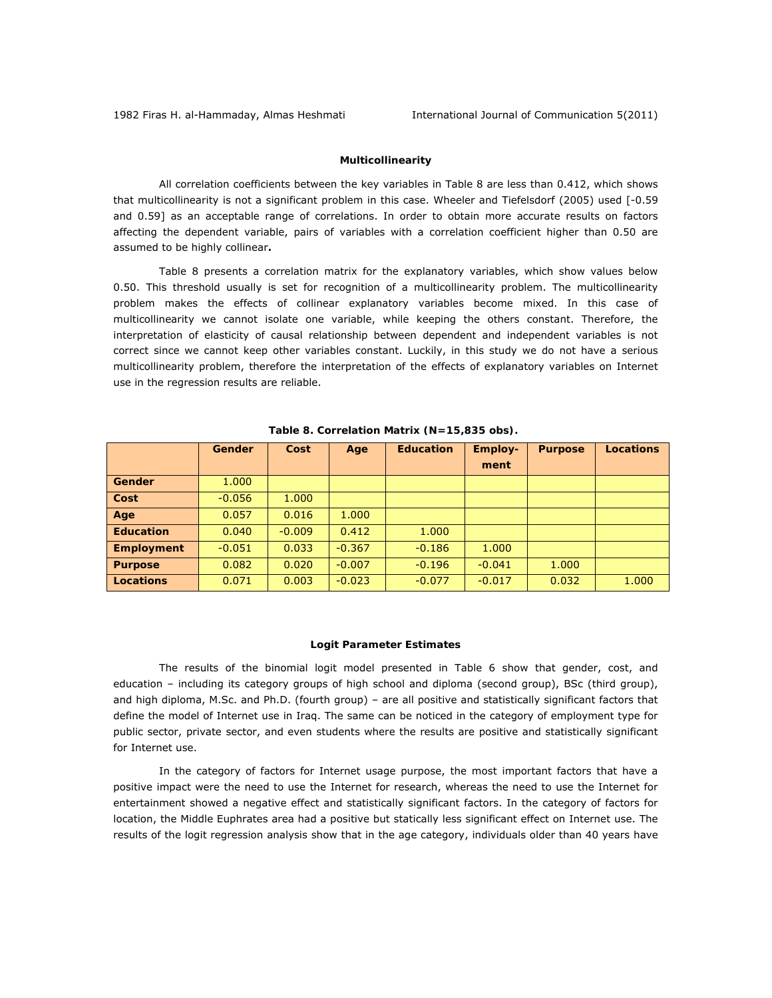### *Multicollinearity*

All correlation coefficients between the key variables in Table 8 are less than 0.412, which shows that multicollinearity is not a significant problem in this case. Wheeler and Tiefelsdorf (2005) used [-0.59 and 0.59] as an acceptable range of correlations. In order to obtain more accurate results on factors affecting the dependent variable, pairs of variables with a correlation coefficient higher than 0.50 are assumed to be highly collinear**.** 

Table 8 presents a correlation matrix for the explanatory variables, which show values below 0.50. This threshold usually is set for recognition of a multicollinearity problem. The multicollinearity problem makes the effects of collinear explanatory variables become mixed. In this case of multicollinearity we cannot isolate one variable, while keeping the others constant. Therefore, the interpretation of elasticity of causal relationship between dependent and independent variables is not correct since we cannot keep other variables constant. Luckily, in this study we do not have a serious multicollinearity problem, therefore the interpretation of the effects of explanatory variables on Internet use in the regression results are reliable.

|                   | Gender   | Cost     | Age      | <b>Education</b> | <b>Employ-</b><br>ment | <b>Purpose</b> | <b>Locations</b> |
|-------------------|----------|----------|----------|------------------|------------------------|----------------|------------------|
| Gender            | 1.000    |          |          |                  |                        |                |                  |
| Cost              | $-0.056$ | 1.000    |          |                  |                        |                |                  |
| Age               | 0.057    | 0.016    | 1.000    |                  |                        |                |                  |
| <b>Education</b>  | 0.040    | $-0.009$ | 0.412    | 1.000            |                        |                |                  |
| <b>Employment</b> | $-0.051$ | 0.033    | $-0.367$ | $-0.186$         | 1.000                  |                |                  |
| <b>Purpose</b>    | 0.082    | 0.020    | $-0.007$ | $-0.196$         | $-0.041$               | 1.000          |                  |
| Locations         | 0.071    | 0.003    | $-0.023$ | $-0.077$         | $-0.017$               | 0.032          | 1.000            |

#### *Table 8. Correlation Matrix (N=15,835 obs).*

#### *Logit Parameter Estimates*

The results of the binomial logit model presented in Table 6 show that gender, cost, and education – including its category groups of high school and diploma (second group), BSc (third group), and high diploma, M.Sc. and Ph.D. (fourth group) – are all positive and statistically significant factors that define the model of Internet use in Iraq. The same can be noticed in the category of employment type for public sector, private sector, and even students where the results are positive and statistically significant for Internet use.

In the category of factors for Internet usage purpose, the most important factors that have a positive impact were the need to use the Internet for research, whereas the need to use the Internet for entertainment showed a negative effect and statistically significant factors. In the category of factors for location, the Middle Euphrates area had a positive but statically less significant effect on Internet use. The results of the logit regression analysis show that in the age category, individuals older than 40 years have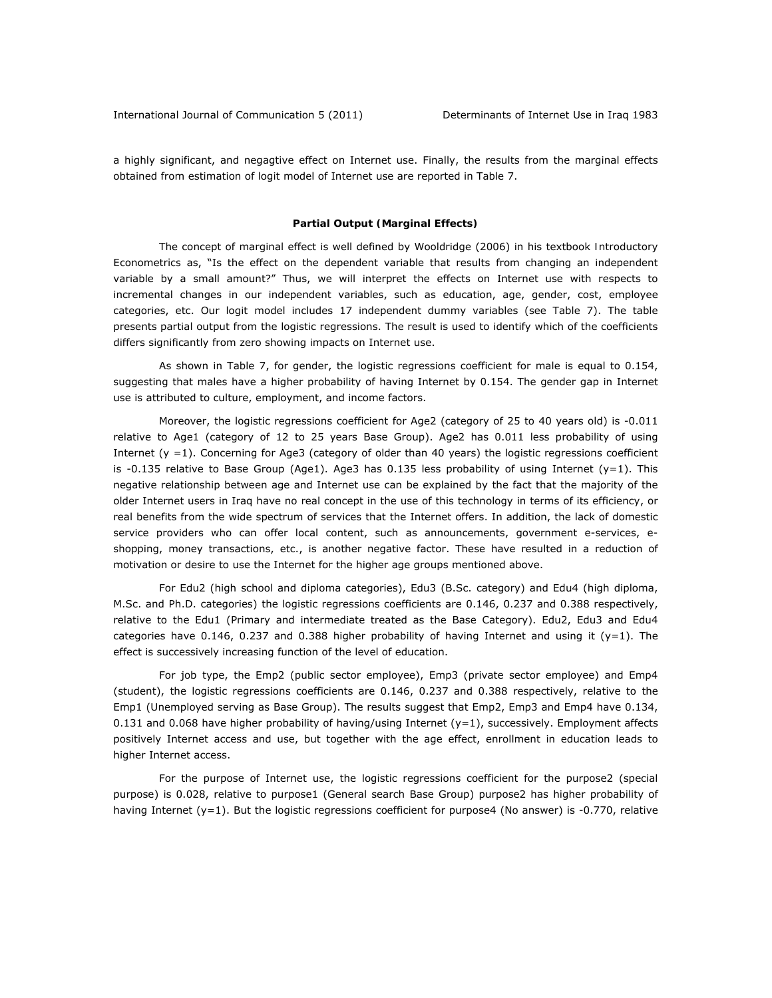a highly significant, and negagtive effect on Internet use. Finally, the results from the marginal effects obtained from estimation of logit model of Internet use are reported in Table 7.

## *Partial Output (Marginal Effects)*

The concept of marginal effect is well defined by Wooldridge (2006) in his textbook *Introductory Econometrics* as, "Is the effect on the dependent variable that results from changing an independent variable by a small amount?" Thus, we will interpret the effects on Internet use with respects to incremental changes in our independent variables, such as education, age, gender, cost, employee categories, etc. Our logit model includes 17 independent dummy variables (see Table 7). The table presents partial output from the logistic regressions. The result is used to identify which of the coefficients differs significantly from zero showing impacts on Internet use.

As shown in Table 7, for gender, the logistic regressions coefficient for male is equal to 0.154, suggesting that males have a higher probability of having Internet by 0.154. The gender gap in Internet use is attributed to culture, employment, and income factors.

Moreover, the logistic regressions coefficient for Age2 (category of 25 to 40 years old) is -0.011 relative to Age1 (category of 12 to 25 years Base Group). Age2 has 0.011 less probability of using Internet  $(y = 1)$ . Concerning for Age3 (category of older than 40 years) the logistic regressions coefficient is -0.135 relative to Base Group (Age1). Age3 has 0.135 less probability of using Internet (y=1). This negative relationship between age and Internet use can be explained by the fact that the majority of the older Internet users in Iraq have no real concept in the use of this technology in terms of its efficiency, or real benefits from the wide spectrum of services that the Internet offers. In addition, the lack of domestic service providers who can offer local content, such as announcements, government e-services, eshopping, money transactions, etc., is another negative factor. These have resulted in a reduction of motivation or desire to use the Internet for the higher age groups mentioned above.

For Edu2 (high school and diploma categories), Edu3 (B.Sc. category) and Edu4 (high diploma, M.Sc. and Ph.D. categories) the logistic regressions coefficients are 0.146, 0.237 and 0.388 respectively, relative to the Edu1 (Primary and intermediate treated as the Base Category). Edu2, Edu3 and Edu4 categories have 0.146, 0.237 and 0.388 higher probability of having Internet and using it ( $y=1$ ). The effect is successively increasing function of the level of education.

For job type, the Emp2 (public sector employee), Emp3 (private sector employee) and Emp4 (student), the logistic regressions coefficients are 0.146, 0.237 and 0.388 respectively, relative to the Emp1 (Unemployed serving as Base Group). The results suggest that Emp2, Emp3 and Emp4 have 0.134, 0.131 and 0.068 have higher probability of having/using Internet  $(y=1)$ , successively. Employment affects positively Internet access and use, but together with the age effect, enrollment in education leads to higher Internet access.

For the purpose of Internet use, the logistic regressions coefficient for the purpose2 (special purpose) is 0.028, relative to purpose1 (General search Base Group) purpose2 has higher probability of having Internet (y=1). But the logistic regressions coefficient for purpose4 (No answer) is -0.770, relative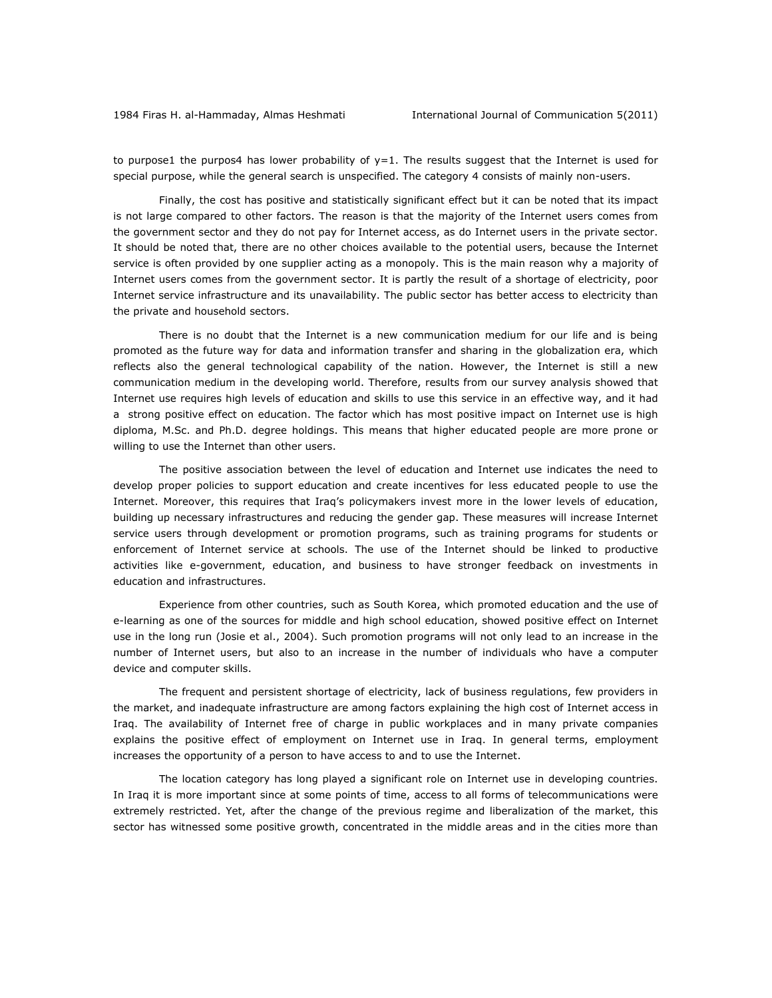to purpose1 the purpos4 has lower probability of  $y=1$ . The results suggest that the Internet is used for special purpose, while the general search is unspecified. The category 4 consists of mainly non-users.

Finally, the cost has positive and statistically significant effect but it can be noted that its impact is not large compared to other factors. The reason is that the majority of the Internet users comes from the government sector and they do not pay for Internet access, as do Internet users in the private sector. It should be noted that, there are no other choices available to the potential users, because the Internet service is often provided by one supplier acting as a monopoly. This is the main reason why a majority of Internet users comes from the government sector. It is partly the result of a shortage of electricity, poor Internet service infrastructure and its unavailability. The public sector has better access to electricity than the private and household sectors.

There is no doubt that the Internet is a new communication medium for our life and is being promoted as the future way for data and information transfer and sharing in the globalization era, which reflects also the general technological capability of the nation. However, the Internet is still a new communication medium in the developing world. Therefore, results from our survey analysis showed that Internet use requires high levels of education and skills to use this service in an effective way, and it had a strong positive effect on education. The factor which has most positive impact on Internet use is high diploma, M.Sc. and Ph.D. degree holdings. This means that higher educated people are more prone or willing to use the Internet than other users.

The positive association between the level of education and Internet use indicates the need to develop proper policies to support education and create incentives for less educated people to use the Internet. Moreover, this requires that Iraq's policymakers invest more in the lower levels of education, building up necessary infrastructures and reducing the gender gap. These measures will increase Internet service users through development or promotion programs, such as training programs for students or enforcement of Internet service at schools. The use of the Internet should be linked to productive activities like e-government, education, and business to have stronger feedback on investments in education and infrastructures.

Experience from other countries, such as South Korea, which promoted education and the use of e-learning as one of the sources for middle and high school education, showed positive effect on Internet use in the long run (Josie et al., 2004). Such promotion programs will not only lead to an increase in the number of Internet users, but also to an increase in the number of individuals who have a computer device and computer skills.

The frequent and persistent shortage of electricity, lack of business regulations, few providers in the market, and inadequate infrastructure are among factors explaining the high cost of Internet access in Iraq. The availability of Internet free of charge in public workplaces and in many private companies explains the positive effect of employment on Internet use in Iraq. In general terms, employment increases the opportunity of a person to have access to and to use the Internet.

The location category has long played a significant role on Internet use in developing countries. In Iraq it is more important since at some points of time, access to all forms of telecommunications were extremely restricted. Yet, after the change of the previous regime and liberalization of the market, this sector has witnessed some positive growth, concentrated in the middle areas and in the cities more than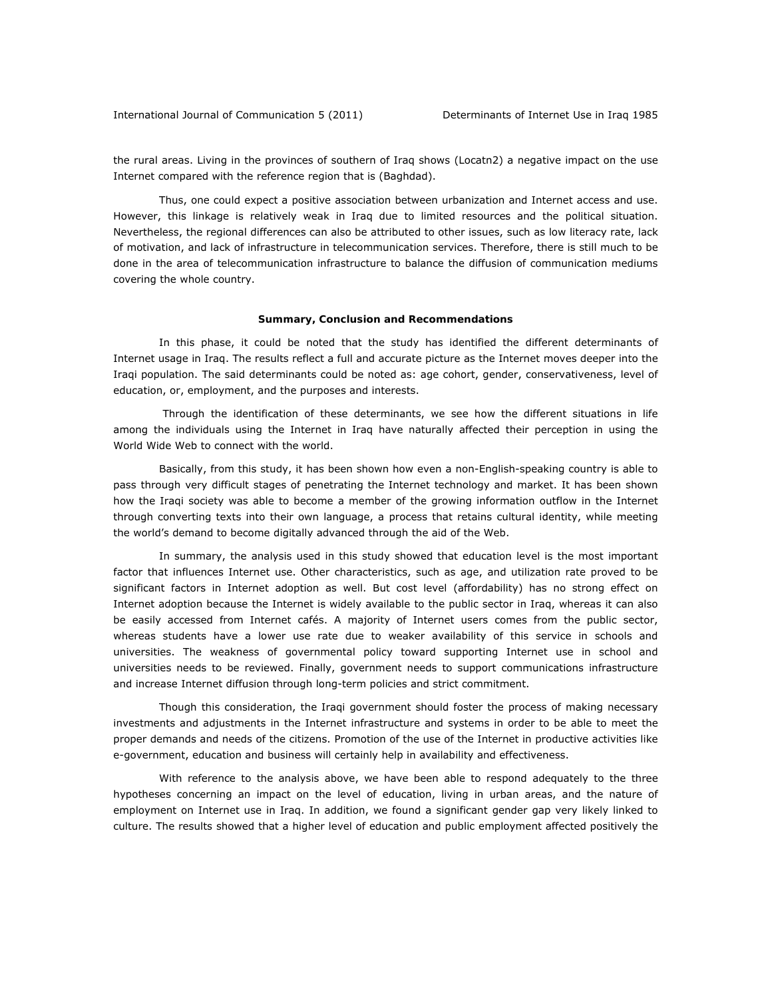the rural areas. Living in the provinces of southern of Iraq shows (Locatn2) a negative impact on the use Internet compared with the reference region that is (Baghdad).

Thus, one could expect a positive association between urbanization and Internet access and use. However, this linkage is relatively weak in Iraq due to limited resources and the political situation. Nevertheless, the regional differences can also be attributed to other issues, such as low literacy rate, lack of motivation, and lack of infrastructure in telecommunication services. Therefore, there is still much to be done in the area of telecommunication infrastructure to balance the diffusion of communication mediums covering the whole country.

#### **Summary, Conclusion and Recommendations**

In this phase, it could be noted that the study has identified the different determinants of Internet usage in Iraq. The results reflect a full and accurate picture as the Internet moves deeper into the Iraqi population. The said determinants could be noted as: age cohort, gender, conservativeness, level of education, or, employment, and the purposes and interests.

 Through the identification of these determinants, we see how the different situations in life among the individuals using the Internet in Iraq have naturally affected their perception in using the World Wide Web to connect with the world.

Basically, from this study, it has been shown how even a non-English-speaking country is able to pass through very difficult stages of penetrating the Internet technology and market. It has been shown how the Iraqi society was able to become a member of the growing information outflow in the Internet through converting texts into their own language, a process that retains cultural identity, while meeting the world's demand to become digitally advanced through the aid of the Web.

In summary, the analysis used in this study showed that education level is the most important factor that influences Internet use. Other characteristics, such as age, and utilization rate proved to be significant factors in Internet adoption as well. But cost level (affordability) has no strong effect on Internet adoption because the Internet is widely available to the public sector in Iraq, whereas it can also be easily accessed from Internet cafés. A majority of Internet users comes from the public sector, whereas students have a lower use rate due to weaker availability of this service in schools and universities. The weakness of governmental policy toward supporting Internet use in school and universities needs to be reviewed. Finally, government needs to support communications infrastructure and increase Internet diffusion through long-term policies and strict commitment.

Though this consideration, the Iraqi government should foster the process of making necessary investments and adjustments in the Internet infrastructure and systems in order to be able to meet the proper demands and needs of the citizens. Promotion of the use of the Internet in productive activities like e-government, education and business will certainly help in availability and effectiveness.

With reference to the analysis above, we have been able to respond adequately to the three hypotheses concerning an impact on the level of education, living in urban areas, and the nature of employment on Internet use in Iraq. In addition, we found a significant gender gap very likely linked to culture. The results showed that a higher level of education and public employment affected positively the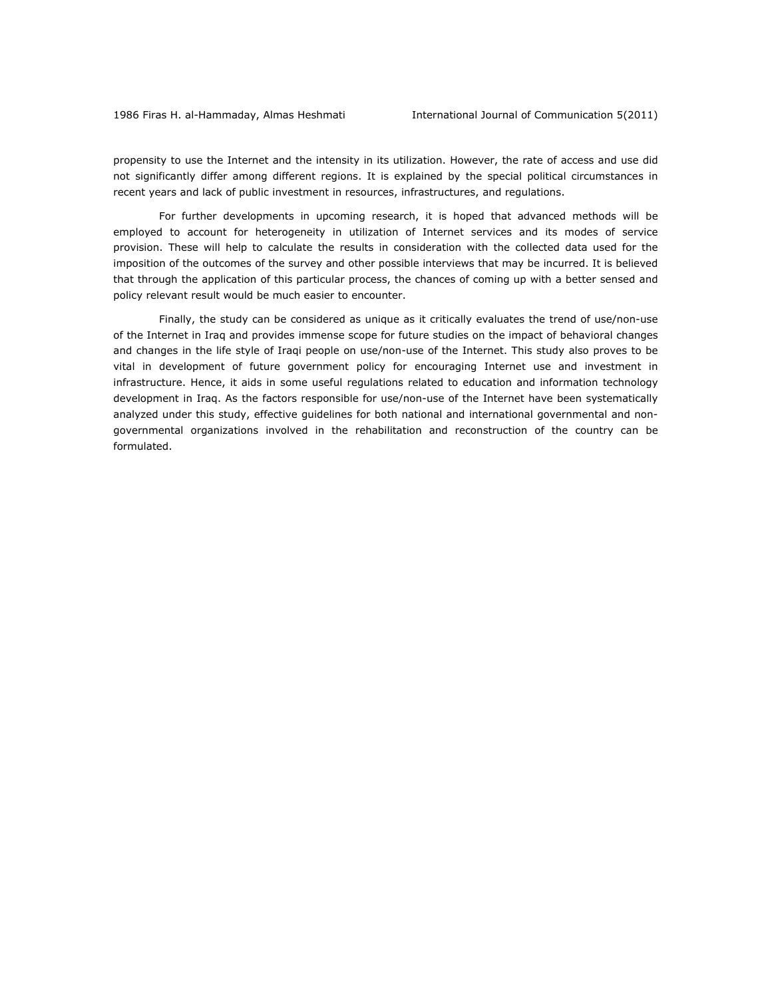propensity to use the Internet and the intensity in its utilization. However, the rate of access and use did not significantly differ among different regions. It is explained by the special political circumstances in recent years and lack of public investment in resources, infrastructures, and regulations.

For further developments in upcoming research, it is hoped that advanced methods will be employed to account for heterogeneity in utilization of Internet services and its modes of service provision. These will help to calculate the results in consideration with the collected data used for the imposition of the outcomes of the survey and other possible interviews that may be incurred. It is believed that through the application of this particular process, the chances of coming up with a better sensed and policy relevant result would be much easier to encounter.

Finally, the study can be considered as unique as it critically evaluates the trend of use/non-use of the Internet in Iraq and provides immense scope for future studies on the impact of behavioral changes and changes in the life style of Iraqi people on use/non-use of the Internet. This study also proves to be vital in development of future government policy for encouraging Internet use and investment in infrastructure. Hence, it aids in some useful regulations related to education and information technology development in Iraq. As the factors responsible for use/non-use of the Internet have been systematically analyzed under this study, effective guidelines for both national and international governmental and nongovernmental organizations involved in the rehabilitation and reconstruction of the country can be formulated.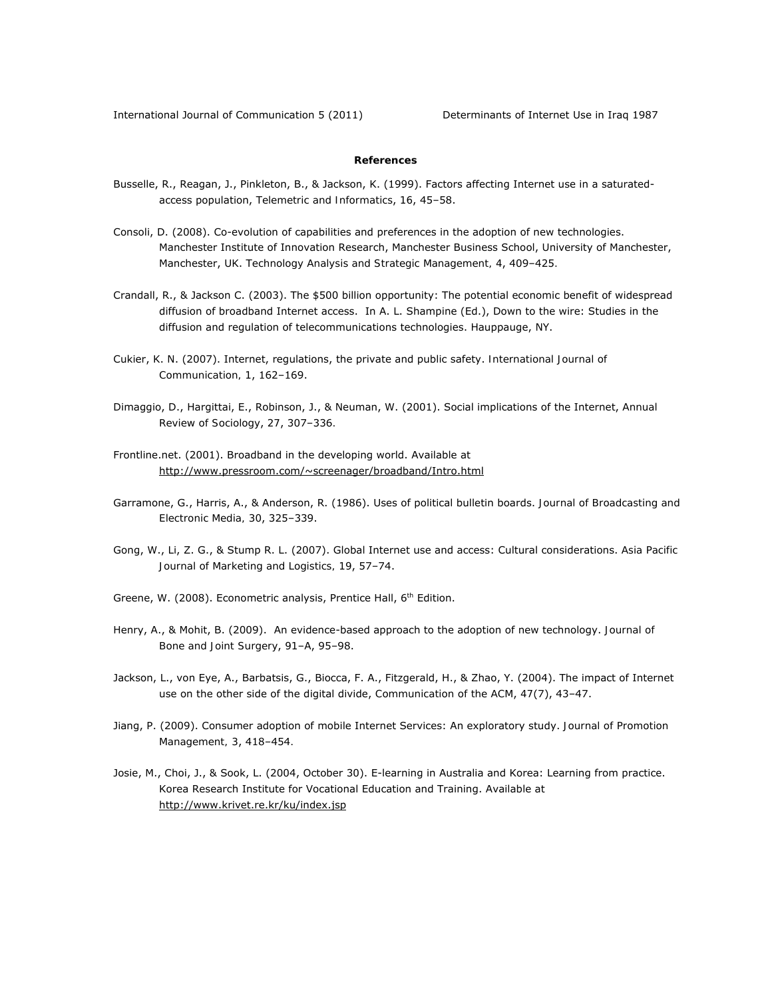# **References**

- Busselle, R., Reagan, J., Pinkleton, B., & Jackson, K. (1999). Factors affecting Internet use in a saturatedaccess population, *Telemetric and Informatics*, *16*, 45–58.
- Consoli, D. (2008). Co-evolution of capabilities and preferences in the adoption of new technologies. Manchester Institute of Innovation Research, Manchester Business School, University of Manchester, Manchester, UK. *Technology Analysis and Strategic Management, 4*, 409–425*.*
- Crandall, R., & Jackson C. (2003). The \$500 billion opportunity: The potential economic benefit of widespread diffusion of broadband Internet access. In A. L. Shampine (Ed.), Down to the wire: Studies in the diffusion and regulation of telecommunications technologies. Hauppauge, NY.
- Cukier, K. N. (2007). Internet, regulations, the private and public safety. *International Journal of Communication, 1*, 162–169.
- Dimaggio, D., Hargittai, E., Robinson, J., & Neuman, W. (2001). Social implications of the Internet, *Annual Review of Sociology*, *27*, 307–336*.*
- Frontline.net. (2001). Broadband in the developing world. Available at http://www.pressroom.com/~screenager/broadband/Intro.html
- Garramone, G., Harris, A., & Anderson, R. (1986). Uses of political bulletin boards. *Journal of Broadcasting and Electronic Media, 30*, 325–339.
- Gong, W., Li, Z. G., & Stump R. L. (2007). Global Internet use and access: Cultural considerations. *Asia Pacific Journal of Marketing and Logistics, 19*, 57–74.
- Greene, W. (2008). Econometric analysis, Prentice Hall, 6<sup>th</sup> Edition.
- Henry, A., & Mohit, B. (2009). An evidence-based approach to the adoption of new technology. *Journal of Bone and Joint Surgery*, *91*–A, 95–98.
- Jackson, L., von Eye, A., Barbatsis, G., Biocca, F. A., Fitzgerald, H., & Zhao, Y. (2004). The impact of Internet use on the other side of the digital divide, *Communication of the ACM*, *47*(7), 43–47.
- Jiang, P. (2009). Consumer adoption of mobile Internet Services: An exploratory study. *Journal of Promotion Management, 3*, 418–454*.*
- Josie, M., Choi, J., & Sook, L. (2004, October 30). E-learning in Australia and Korea: Learning from practice. Korea Research Institute for Vocational Education and Training. Available at http://www.krivet.re.kr/ku/index.jsp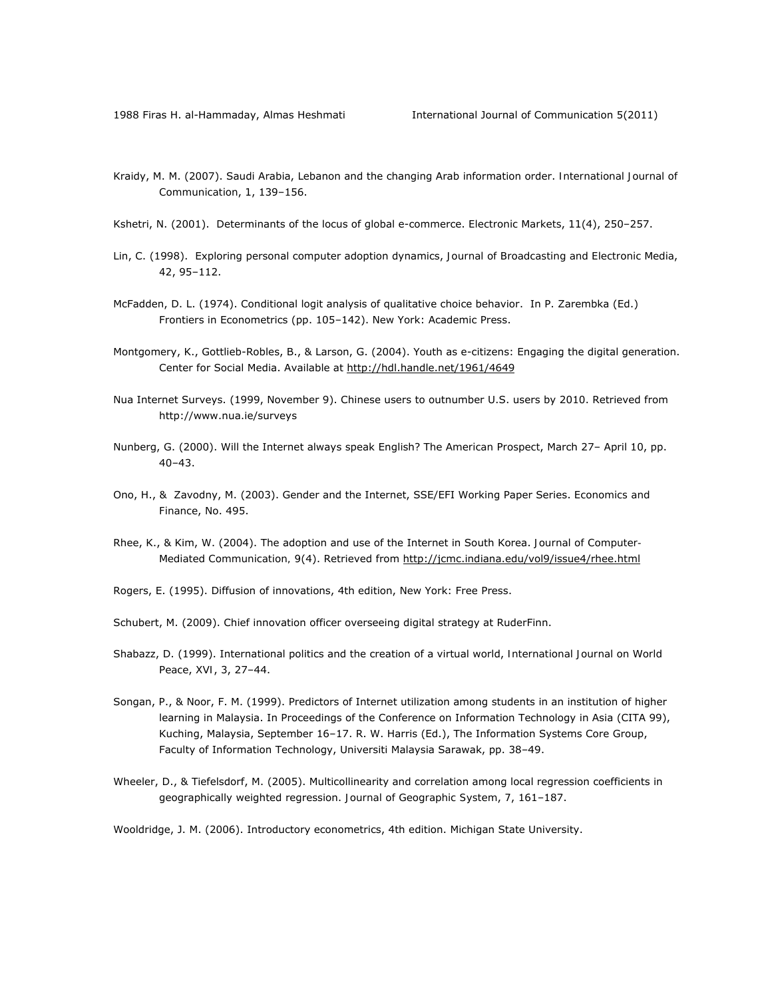- Kraidy, M. M. (2007). Saudi Arabia, Lebanon and the changing Arab information order. *International Journal of Communication*, *1*, 139–156.
- Kshetri, N. (2001). Determinants of the locus of global e-commerce. *Electronic Markets*, *11*(4), 250–257.
- Lin, C. (1998). Exploring personal computer adoption dynamics, *Journal of Broadcasting and Electronic Media*, *42*, 95–112.
- McFadden, D. L. (1974). Conditional logit analysis of qualitative choice behavior. In P. Zarembka (Ed.) Frontiers in Econometrics (pp. 105–142). New York: Academic Press.
- Montgomery, K., Gottlieb-Robles, B., & Larson, G. (2004). Youth as e-citizens: Engaging the digital generation. Center for Social Media. Available at http://hdl.handle.net/1961/4649
- Nua Internet Surveys. (1999, November 9). Chinese users to outnumber U.S. users by 2010. Retrieved from http://www.nua.ie/surveys
- Nunberg, G. (2000). Will the Internet always speak English? *The American Prospect*, March 27– April 10, pp. 40–43.
- Ono, H., & Zavodny, M. (2003). Gender and the Internet, SSE/EFI Working Paper Series. *Economics and Finance*, No. 495.
- Rhee, K., & Kim, W. (2004). The adoption and use of the Internet in South Korea. *Journal of Computer-Mediated Communication, 9*(4). Retrieved from http://jcmc.indiana.edu/vol9/issue4/rhee.html
- Rogers, E. (1995). Diffusion of innovations, 4th edition, New York: Free Press.
- Schubert, M. (2009). Chief innovation officer overseeing digital strategy at RuderFinn.
- Shabazz, D. (1999). International politics and the creation of a virtual world, *International Journal on World Peace*, *XVI*, 3, 27–44.
- Songan, P., & Noor, F. M. (1999). Predictors of Internet utilization among students in an institution of higher learning in Malaysia. In Proceedings of the Conference on Information Technology in Asia (CITA 99), Kuching, Malaysia, September 16–17. R. W. Harris (Ed.), The Information Systems Core Group, Faculty of Information Technology, Universiti Malaysia Sarawak, pp. 38–49.
- Wheeler, D., & Tiefelsdorf, M. (2005). Multicollinearity and correlation among local regression coefficients in geographically weighted regression. *Journal of Geographic System*, *7*, 161–187.

Wooldridge, J. M. (2006). Introductory econometrics, 4th edition. Michigan State University.